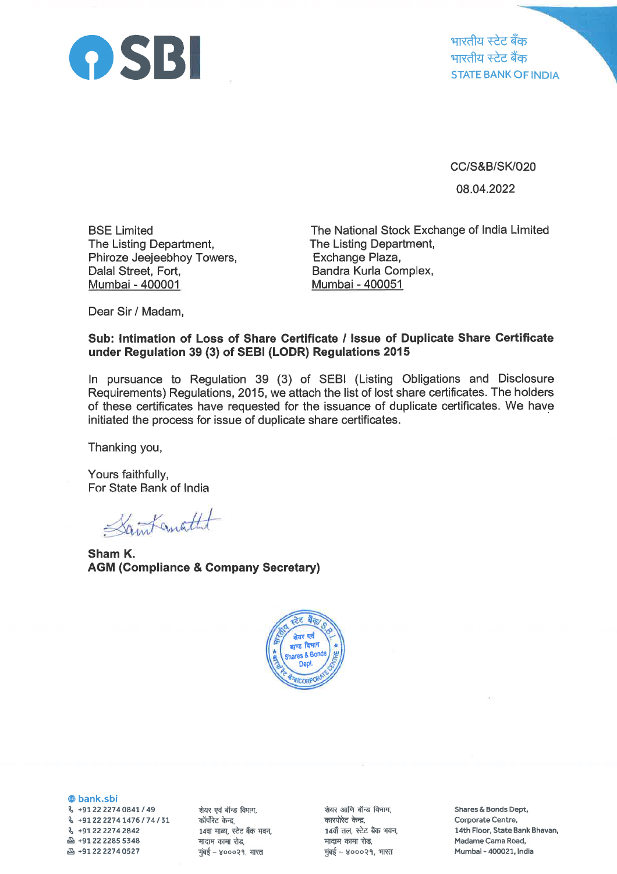

भारतीय स्टेट बँक भारतीय स्टेट बैंक STATE BANK OF INDIA

cc/s&B/sKlo20

08.04.2022

BSE Limited The Listing Department, Phiroze Jeejeebhoy Towers, Dalal Street, Fort, Mumbai - 400001

The National Stock Exchange of lndia Limited The Listing Department, Exchange Plaza, Bandra Kurla Complex, Mumbai - 400051

Dear Sir / Madam,

## Sub: lntimation of Loss of Share Certificate / lssue of Duplicate Share Gertificate under Regulation 39 (3) of SEBI (LODR) Regulations 2015

ln pursuance to Regulation 39 (3) of SEBI (Listing Obligations and Disclosure Requirements) Regulations, 2015, we attach the list of lost share certificates. The holders of these certificates have requested for the issuance of duplicate certificates. We have initiated the process for issue of duplicate share certificates.

Thanking you,

Yours faithfully, For State Bank of lndia

Saint anathet

Sham K. AGM (Gompliance & Company Secretary)



@ bank.sbi \ +91222274O84L1 <sup>49</sup>  $\frac{6}{74}$  +91 22 2274 1476 / 74 / 31 ( +91 zz <sup>22742842</sup>  $\mathbb{A}$  +91 22 2285 5348 B +912222740527

शेयर एवं बॉन्ड विभाग, कॉर्पोरेट केन्द्र, 14वा माळा, स्टेट बँक भवन, मादाम कामा रोड,  $\frac{1}{2}$ मुंबई – ४०००२१, भारत

शेयर आणि बॉन्ड विभाग, कारपोरेट केन्द्र. 14वाँ तल, स्टेट बैंक भवन, मादाम कामा रोड,<br>मुंबई – ४०००२१, भारत

Shares & Bonds Dept, Corporate Centre, 14th Floor, State Bank Bhavan, Madame Cama Road, Mumbai - 400021, India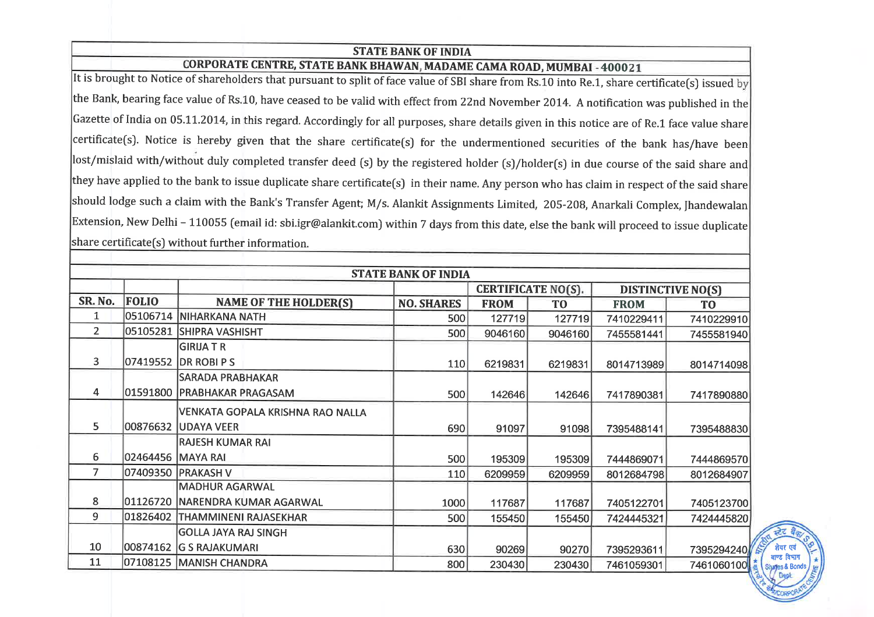## STATE BANK OF INDIA

## CORPORATE CENTRE, STATE BANK BHAWAN, MADAME CAMA ROAD, MUMBAI - 400021

It is brought to Notice of shareholders that pursuant to split of face value of SBI share from Rs.10 into Re.1, share certificate(s) issued the Bank, bearing face value of Rs.10, have ceased to be valid with effect from 22nd November 2014. A notification was published in the Gazette of India on 05.11.2014, in this regard. Accordingly for all purposes, share details given in this notice are of Re.1 face value share certificate(s). Notice is hereby given that the share certificate(s) for the undermentioned securities of the bank has/have been lost/mislaid with/without duly completed transfer deed (s) by the registered holder (s)/holder(s) in due course of the said share and they have applied to the bank to issue duplicate share certificate[s) in their name. Any person who has claim in respect of the said share should lodge such a claim with the Bank's Transfer Agent; M/s. Alankit Assignments Limited, 205-208, Anarkali Complex, Jhandewalan Extension, New Delhi - 110055 (email id: sbi.igr@alankit.com) within 7 days from this date, else the bank will proceed to issue duplicate  $\vert$ share certificate(s) without further information.

|                |              |                                   | <b>STATE BANK OF INDIA</b> |                           |         |                          |                |                                         |
|----------------|--------------|-----------------------------------|----------------------------|---------------------------|---------|--------------------------|----------------|-----------------------------------------|
|                |              |                                   |                            | <b>CERTIFICATE NO(S).</b> |         | <b>DISTINCTIVE NO(S)</b> |                |                                         |
| SR. No.        | <b>FOLIO</b> | <b>NAME OF THE HOLDER(S)</b>      | <b>NO. SHARES</b>          | <b>FROM</b>               | TO      | <b>FROM</b>              | T <sub>0</sub> |                                         |
|                |              | 05106714 NIHARKANA NATH           | 500                        | 127719                    | 127719  | 7410229411               | 7410229910     |                                         |
| $\overline{2}$ |              | 05105281 SHIPRA VASHISHT          | 500                        | 9046160                   | 9046160 | 7455581441               | 7455581940     |                                         |
|                |              | GIRIJA T R                        |                            |                           |         |                          |                |                                         |
| 3              |              | 07419552  DR ROBI P S             | 110                        | 6219831                   | 6219831 | 8014713989               | 8014714098     |                                         |
|                |              | <b>SARADA PRABHAKAR</b>           |                            |                           |         |                          |                |                                         |
| 4              |              | 01591800   PRABHAKAR PRAGASAM     | 500                        | 142646                    | 142646  | 7417890381               | 7417890880     |                                         |
|                |              | VENKATA GOPALA KRISHNA RAO NALLA  |                            |                           |         |                          |                |                                         |
| 5              |              | 00876632  UDAYA VEER              | 690                        | 91097                     | 91098   | 7395488141               | 7395488830     |                                         |
|                |              | RAJESH KUMAR RAI                  |                            |                           |         |                          |                |                                         |
| 6              |              | 02464456   MAYA RAI               | 500                        | 195309                    | 195309  | 7444869071               | 7444869570     |                                         |
|                |              | 07409350 PRAKASH V                | 110                        | 6209959                   | 6209959 | 8012684798               | 8012684907     |                                         |
|                |              | MADHUR AGARWAL                    |                            |                           |         |                          |                |                                         |
| 8              |              | 01126720   NARENDRA KUMAR AGARWAL | 1000                       | 117687                    | 117687  | 7405122701               | 7405123700     |                                         |
| 9              |              | 01826402 THAMMINENI RAJASEKHAR    | 500                        | 155450                    | 155450  | 7424445321               | 7424445820     |                                         |
|                |              | GOLLA JAYA RAJ SINGH              |                            |                           |         |                          |                | रहेर बैक्                               |
| 10             |              | 00874162 G S RAJAKUMARI           | 630                        | 90269                     | 90270   | 7395293611               | 7395294240     | शेयर एवं                                |
| 11             |              | 07108125 MANISH CHANDRA           | 800                        | 230430                    | 230430  | 7461059301               | 7461060100     | वाण्ड विभाग<br><b>Shafes &amp; Bond</b> |

 $\int \frac{1}{\sqrt{2\pi}}$